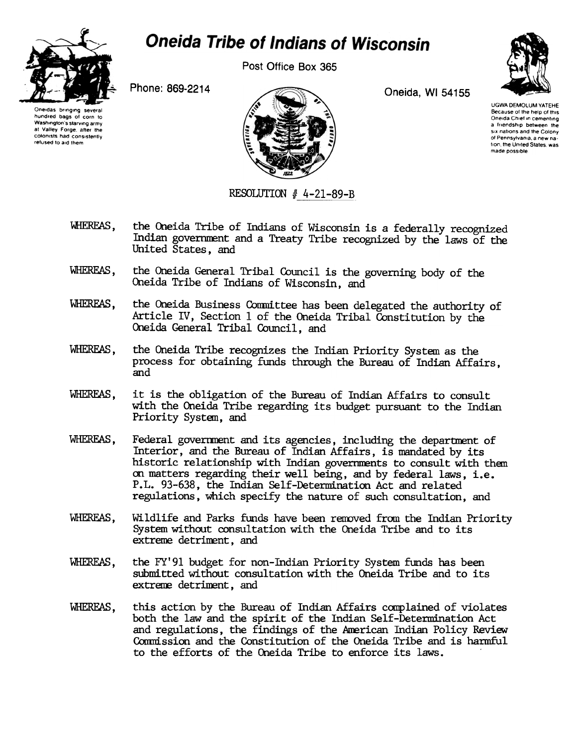

## **Oneida Tribe of Indians of Wisconsin**

Post Office Box 365

Phone: 869-2214

Oneidas bringing several hundred bags of corn to Washington's starving army at Valley Forge, after the colonists had consistently refused to aid them



Oneida, WI 54155



**UGWA DEMOLUM YATEHE** Because of the help of this Oneida Chief in cementing a friendship between the six nations and the Colony of Pennsylvania, a new nation, the United States, was made possible

RESOLUTION  $#$  4-21-89-B

- WHEREAS. the Oneida Tribe of Indians of Wisconsin is a federally recognized Indian government and a Treaty Tribe recognized by the laws of the United States, and
- WHEREAS. the Oneida General Tribal Council is the governing body of the Oneida Tribe of Indians of Wisconsin, and
- WHEREAS, the Oneida Business Committee has been delegated the authority of Article IV, Section 1 of the Oneida Tribal Constitution by the Oneida General Tribal Council, and
- WHEREAS. the Oneida Tribe recognizes the Indian Priority System as the process for obtaining funds through the Bureau of Indian Affairs, and
- it is the obligation of the Bureau of Indian Affairs to consult WHEREAS, with the Oneida Tribe regarding its budget pursuant to the Indian Priority System, and
- WHEREAS. Federal government and its agencies, including the department of Interior, and the Bureau of Indian Affairs, is mandated by its historic relationship with Indian governments to consult with them on matters regarding their well being, and by federal laws, i.e. P.L. 93-638, the Indian Self-Determination Act and related regulations, which specify the nature of such consultation, and
- WHEREAS. Wildlife and Parks funds have been removed from the Indian Priority System without consultation with the Oneida Tribe and to its extreme detriment, and
- WHEREAS. the FY'91 budget for non-Indian Priority System funds has been submitted without consultation with the Oneida Tribe and to its extreme detriment, and
- WHEREAS. this action by the Bureau of Indian Affairs complained of violates both the law and the spirit of the Indian Self-Determination Act and regulations, the findings of the American Indian Policy Review Commission and the Constitution of the Oneida Tribe and is harmful to the efforts of the Oneida Tribe to enforce its laws.